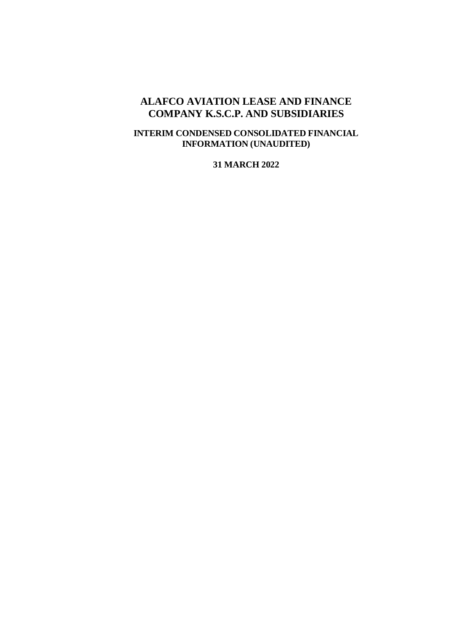### **ALAFCO AVIATION LEASE AND FINANCE COMPANY K.S.C.P. AND SUBSIDIARIES**

### **INTERIM CONDENSED CONSOLIDATED FINANCIAL INFORMATION (UNAUDITED)**

#### **31 MARCH 2022**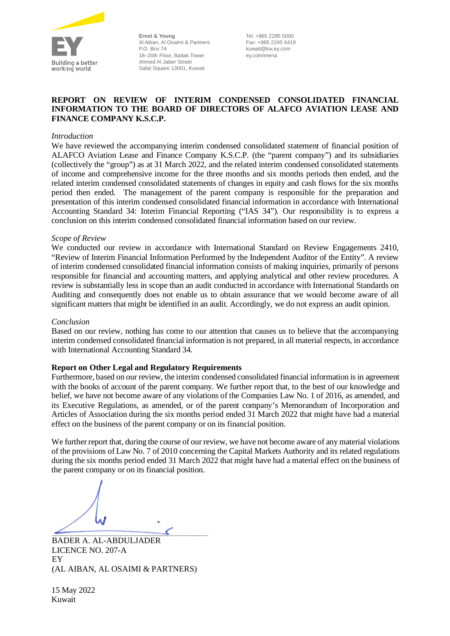

**Ernst & Young** Al Aiban, Al Osaimi & Partners P.O. Box 74 18–20th Floor, Baitak Tower Ahmed Al Jaber Street Safat Square 13001, Kuwait

Tel: +965 2295 5000 Fax: +965 2245 6419 kuwait@kw.ey.com ey.com/mena

#### **REPORT ON REVIEW OF INTERIM CONDENSED CONSOLIDATED FINANCIAL INFORMATION TO THE BOARD OF DIRECTORS OF ALAFCO AVIATION LEASE AND FINANCE COMPANY K.S.C.P.**

#### *Introduction*

We have reviewed the accompanying interim condensed consolidated statement of financial position of ALAFCO Aviation Lease and Finance Company K.S.C.P. (the "parent company") and its subsidiaries (collectively the "group") as at 31 March 2022, and the related interim condensed consolidated statements of income and comprehensive income for the three months and six months periods then ended, and the related interim condensed consolidated statements of changes in equity and cash flows for the six months period then ended. The management of the parent company is responsible for the preparation and presentation of this interim condensed consolidated financial information in accordance with International Accounting Standard 34: Interim Financial Reporting ("IAS 34"). Our responsibility is to express a conclusion on this interim condensed consolidated financial information based on our review.

#### *Scope of Review*

We conducted our review in accordance with International Standard on Review Engagements 2410, "Review of Interim Financial Information Performed by the Independent Auditor of the Entity". A review of interim condensed consolidated financial information consists of making inquiries, primarily of persons responsible for financial and accounting matters, and applying analytical and other review procedures. A review is substantially less in scope than an audit conducted in accordance with International Standards on Auditing and consequently does not enable us to obtain assurance that we would become aware of all significant matters that might be identified in an audit. Accordingly, we do not express an audit opinion.

#### *Conclusion*

Based on our review, nothing has come to our attention that causes us to believe that the accompanying interim condensed consolidated financial information is not prepared, in all material respects, in accordance with International Accounting Standard 34.

#### **Report on Other Legal and Regulatory Requirements**

Furthermore, based on our review, the interim condensed consolidated financial information is in agreement with the books of account of the parent company. We further report that, to the best of our knowledge and belief, we have not become aware of any violations of the Companies Law No. 1 of 2016, as amended, and its Executive Regulations, as amended, or of the parent company's Memorandum of Incorporation and Articles of Association during the six months period ended 31 March 2022 that might have had a material effect on the business of the parent company or on its financial position.

We further report that, during the course of our review, we have not become aware of any material violations of the provisions of Law No. 7 of 2010 concerning the Capital Markets Authority and its related regulations during the six months period ended 31 March 2022 that might have had a material effect on the business of the parent company or on its financial position.

BADER A. AL-ABDULJADER LICENCE NO. 207-A EY (AL AIBAN, AL OSAIMI & PARTNERS)

15 May 2022 Kuwait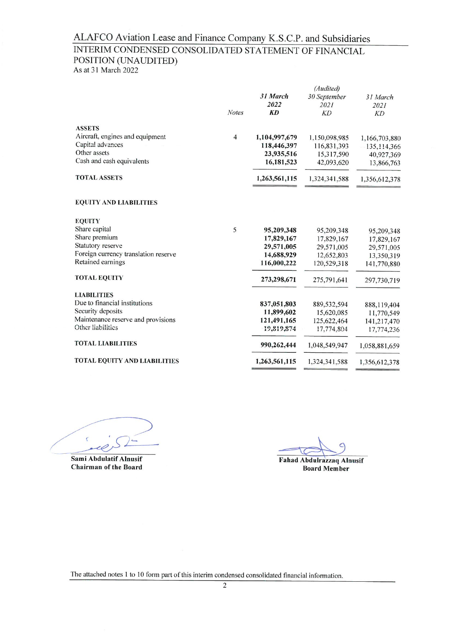## INTERIM CONDENSED CONSOLIDATED STATEMENT OF FINANCIAL POSITION (UNAUDITED)

As at 31 March 2022

|                                      |                | (Audited)     |               |               |  |
|--------------------------------------|----------------|---------------|---------------|---------------|--|
|                                      |                | 31 March      | 30 September  | 31 March      |  |
|                                      |                | 2022          | 2021          | 2021          |  |
|                                      | <b>Notes</b>   | <b>KD</b>     | KD            | KD            |  |
| <b>ASSETS</b>                        |                |               |               |               |  |
| Aircraft, engines and equipment      | $\overline{4}$ | 1,104,997,679 | 1,150,098,985 | 1,166,703,880 |  |
| Capital advances                     |                | 118,446,397   | 116,831,393   | 135, 114, 366 |  |
| Other assets                         |                | 23,935,516    | 15,317,590    | 40,927,369    |  |
| Cash and cash equivalents            |                | 16,181,523    | 42,093,620    | 13,866,763    |  |
| <b>TOTAL ASSETS</b>                  |                | 1,263,561,115 | 1,324,341,588 | 1,356,612,378 |  |
| <b>EQUITY AND LIABILITIES</b>        |                |               |               |               |  |
| <b>EQUITY</b>                        |                |               |               |               |  |
| Share capital                        | 5              | 95,209,348    | 95,209,348    | 95,209,348    |  |
| Share premium                        |                | 17,829,167    | 17,829,167    | 17,829,167    |  |
| Statutory reserve                    |                | 29,571,005    | 29,571,005    | 29,571,005    |  |
| Foreign currency translation reserve |                | 14,688,929    | 12,652,803    | 13,350,319    |  |
| Retained earnings                    |                | 116,000,222   | 120,529,318   | 141,770,880   |  |
| <b>TOTAL EQUITY</b>                  |                | 273,298,671   | 275,791,641   | 297,730,719   |  |
| <b>LIABILITIES</b>                   |                |               |               |               |  |
| Due to financial institutions        |                | 837,051,803   | 889,532,594   | 888,119,404   |  |
| Security deposits                    |                | 11,899,602    | 15,620,085    | 11,770,549    |  |
| Maintenance reserve and provisions   |                | 121,491,165   | 125,622,464   | 141,217,470   |  |
| Other liabilities                    |                | 19,819,874    | 17,774,804    | 17,774,236    |  |
| <b>TOTAL LIABILITIES</b>             |                | 990,262,444   | 1,048,549,947 | 1,058,881,659 |  |
| <b>TOTAL EQUITY AND LIABILITIES</b>  |                | 1,263,561,115 | 1,324,341,588 | 1,356,612,378 |  |
|                                      |                |               |               |               |  |

Sami Abdulatif Alnusif **Chairman of the Board** 

**Fahad Abdulrazzaq Alnusif Board Member**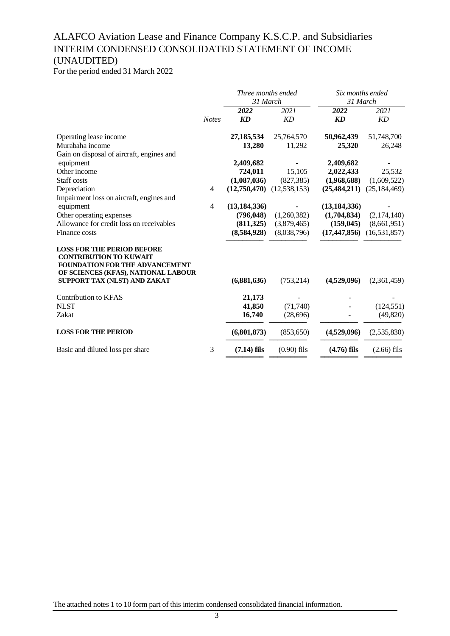## INTERIM CONDENSED CONSOLIDATED STATEMENT OF INCOME (UNAUDITED)

For the period ended 31 March 2022

|                                                                                                                                                                                    |                | Three months ended |                | Six months ended |                |
|------------------------------------------------------------------------------------------------------------------------------------------------------------------------------------|----------------|--------------------|----------------|------------------|----------------|
|                                                                                                                                                                                    |                | 31 March           |                | 31 March         |                |
|                                                                                                                                                                                    |                | 2022               | 2021           | 2022             | 2021           |
|                                                                                                                                                                                    | <b>Notes</b>   | KD                 | <b>KD</b>      | <b>KD</b>        | KD             |
| Operating lease income                                                                                                                                                             |                | 27,185,534         | 25,764,570     | 50,962,439       | 51,748,700     |
| Murabaha income                                                                                                                                                                    |                | 13,280             | 11,292         | 25,320           | 26,248         |
| Gain on disposal of aircraft, engines and                                                                                                                                          |                |                    |                |                  |                |
| equipment                                                                                                                                                                          |                | 2,409,682          |                | 2,409,682        |                |
| Other income                                                                                                                                                                       |                | 724,011            | 15,105         | 2,022,433        | 25,532         |
| Staff costs                                                                                                                                                                        |                | (1,087,036)        | (827, 385)     | (1,968,688)      | (1,609,522)    |
| Depreciation                                                                                                                                                                       | $\overline{4}$ | (12,750,470)       | (12, 538, 153) | (25, 484, 211)   | (25, 184, 469) |
| Impairment loss on aircraft, engines and                                                                                                                                           |                |                    |                |                  |                |
| equipment                                                                                                                                                                          | $\overline{4}$ | (13, 184, 336)     |                | (13, 184, 336)   |                |
| Other operating expenses                                                                                                                                                           |                | (796, 048)         | (1,260,382)    | (1,704,834)      | (2,174,140)    |
| Allowance for credit loss on receivables                                                                                                                                           |                | (811, 325)         | (3,879,465)    | (159, 045)       | (8,661,951)    |
| Finance costs                                                                                                                                                                      |                | (8,584,928)        | (8,038,796)    | (17, 447, 856)   | (16, 531, 857) |
| <b>LOSS FOR THE PERIOD BEFORE</b><br><b>CONTRIBUTION TO KUWAIT</b><br><b>FOUNDATION FOR THE ADVANCEMENT</b><br>OF SCIENCES (KFAS), NATIONAL LABOUR<br>SUPPORT TAX (NLST) AND ZAKAT |                | (6,881,636)        | (753, 214)     | (4,529,096)      | (2,361,459)    |
| <b>Contribution to KFAS</b>                                                                                                                                                        |                | 21,173             |                |                  |                |
| <b>NLST</b>                                                                                                                                                                        |                | 41,850             | (71, 740)      |                  | (124, 551)     |
| Zakat                                                                                                                                                                              |                | 16,740             | (28,696)       |                  | (49, 820)      |
|                                                                                                                                                                                    |                |                    |                |                  |                |
| <b>LOSS FOR THE PERIOD</b>                                                                                                                                                         |                | (6,801,873)        | (853, 650)     | (4,529,096)      | (2,535,830)    |
| Basic and diluted loss per share                                                                                                                                                   | 3              | $(7.14)$ fils      | $(0.90)$ fils  | $(4.76)$ fils    | $(2.66)$ fils  |
|                                                                                                                                                                                    |                |                    |                |                  |                |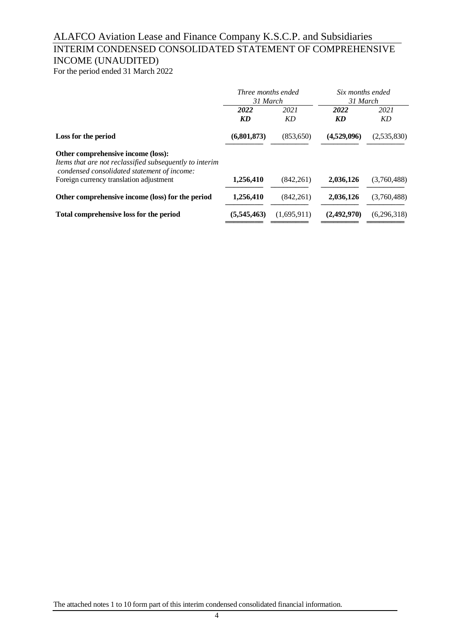## INTERIM CONDENSED CONSOLIDATED STATEMENT OF COMPREHENSIVE INCOME (UNAUDITED)

For the period ended 31 March 2022

|                                                                                                                                                                                         | Three months ended<br>31 March |             | Six months ended<br>31 March |             |
|-----------------------------------------------------------------------------------------------------------------------------------------------------------------------------------------|--------------------------------|-------------|------------------------------|-------------|
|                                                                                                                                                                                         | 2022<br><b>KD</b>              | 2021<br>KD  | 2022<br>KD                   | 2021<br>KD  |
| Loss for the period                                                                                                                                                                     | (6,801,873)                    | (853,650)   | (4,529,096)                  | (2,535,830) |
| Other comprehensive income (loss):<br>Items that are not reclassified subsequently to interim<br>condensed consolidated statement of income:<br>Foreign currency translation adjustment | 1,256,410                      | (842, 261)  | 2,036,126                    | (3,760,488) |
| Other comprehensive income (loss) for the period                                                                                                                                        | 1,256,410                      | (842, 261)  | 2,036,126                    | (3,760,488) |
| Total comprehensive loss for the period                                                                                                                                                 | (5,545,463)                    | (1,695,911) | (2,492,970)                  | (6,296,318) |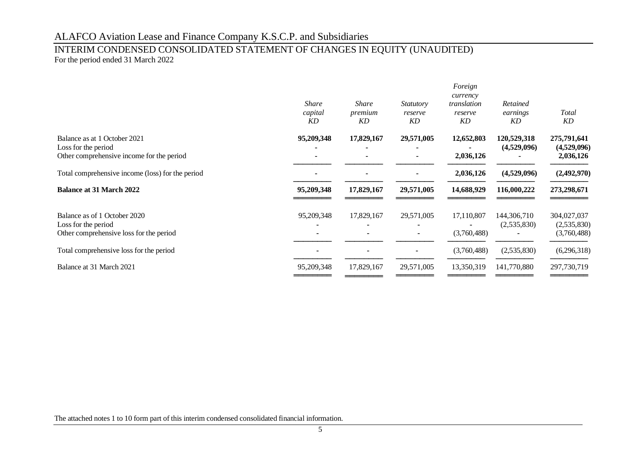### INTERIM CONDENSED CONSOLIDATED STATEMENT OF CHANGES IN EQUITY (UNAUDITED) For the period ended 31 March 2022

|                                                                                                  | <i>Share</i><br>capital<br>KD          | <b>Share</b><br>premium<br>KD | <i>Statutory</i><br>reserve<br>KD | Foreign<br>currency<br>translation<br>reserve<br>KD | Retained<br>earnings<br>KD | Total<br>KD                               |
|--------------------------------------------------------------------------------------------------|----------------------------------------|-------------------------------|-----------------------------------|-----------------------------------------------------|----------------------------|-------------------------------------------|
| Balance as at 1 October 2021<br>Loss for the period<br>Other comprehensive income for the period | 95,209,348<br>$\overline{\phantom{a}}$ | 17,829,167                    | 29,571,005                        | 12,652,803<br>2,036,126                             | 120,529,318<br>(4,529,096) | 275,791,641<br>(4,529,096)<br>2,036,126   |
| Total comprehensive income (loss) for the period                                                 |                                        |                               |                                   | 2,036,126                                           | (4,529,096)                | (2,492,970)                               |
| <b>Balance at 31 March 2022</b>                                                                  | 95,209,348                             | 17,829,167                    | 29,571,005                        | 14,688,929                                          | 116,000,222                | 273,298,671                               |
| Balance as of 1 October 2020<br>Loss for the period<br>Other comprehensive loss for the period   | 95,209,348                             | 17,829,167                    | 29,571,005                        | 17,110,807<br>(3,760,488)                           | 144,306,710<br>(2,535,830) | 304,027,037<br>(2,535,830)<br>(3,760,488) |
| Total comprehensive loss for the period                                                          |                                        |                               |                                   | (3,760,488)                                         | (2,535,830)                | (6,296,318)                               |
| Balance at 31 March 2021                                                                         | 95,209,348                             | 17,829,167                    | 29,571,005                        | 13,350,319                                          | 141,770,880                | 297,730,719                               |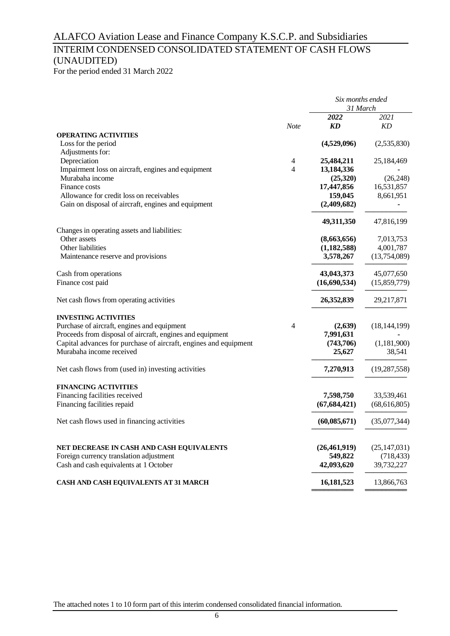## INTERIM CONDENSED CONSOLIDATED STATEMENT OF CASH FLOWS (UNAUDITED)

For the period ended 31 March 2022

|                                                                                      |                | Six months ended<br>31 March |                |  |
|--------------------------------------------------------------------------------------|----------------|------------------------------|----------------|--|
|                                                                                      |                | 2022                         | 2021           |  |
|                                                                                      | <b>Note</b>    | KD                           | KD             |  |
| <b>OPERATING ACTIVITIES</b>                                                          |                |                              |                |  |
| Loss for the period                                                                  |                | (4,529,096)                  | (2,535,830)    |  |
| Adjustments for:                                                                     |                |                              |                |  |
| Depreciation                                                                         | 4              | 25,484,211                   | 25,184,469     |  |
| Impairment loss on aircraft, engines and equipment                                   | $\overline{4}$ | 13,184,336                   |                |  |
| Murabaha income                                                                      |                | (25,320)                     | (26, 248)      |  |
| Finance costs<br>Allowance for credit loss on receivables                            |                | 17,447,856<br>159,045        | 16,531,857     |  |
|                                                                                      |                |                              | 8,661,951      |  |
| Gain on disposal of aircraft, engines and equipment                                  |                | (2,409,682)                  |                |  |
|                                                                                      |                | 49,311,350                   | 47,816,199     |  |
| Changes in operating assets and liabilities:                                         |                |                              |                |  |
| Other assets                                                                         |                | (8,663,656)                  | 7,013,753      |  |
| Other liabilities                                                                    |                | (1,182,588)                  | 4,001,787      |  |
| Maintenance reserve and provisions                                                   |                | 3,578,267                    | (13,754,089)   |  |
| Cash from operations                                                                 |                | 43,043,373                   | 45,077,650     |  |
| Finance cost paid                                                                    |                | (16,690,534)                 | (15,859,779)   |  |
| Net cash flows from operating activities                                             |                | 26,352,839                   | 29,217,871     |  |
| <b>INVESTING ACTIVITIES</b>                                                          |                |                              |                |  |
| Purchase of aircraft, engines and equipment                                          | 4              | (2,639)                      | (18, 144, 199) |  |
| Proceeds from disposal of aircraft, engines and equipment                            |                | 7,991,631                    |                |  |
| Capital advances for purchase of aircraft, engines and equipment                     |                | (743,706)                    | (1,181,900)    |  |
| Murabaha income received                                                             |                | 25,627                       | 38,541         |  |
| Net cash flows from (used in) investing activities                                   |                | 7,270,913                    | (19, 287, 558) |  |
| <b>FINANCING ACTIVITIES</b>                                                          |                |                              |                |  |
| Financing facilities received                                                        |                | 7,598,750                    | 33,539,461     |  |
| Financing facilities repaid                                                          |                | (67, 684, 421)               | (68, 616, 805) |  |
| Net cash flows used in financing activities                                          |                | (60, 085, 671)               | (35,077,344)   |  |
|                                                                                      |                | (26, 461, 919)               | (25, 147, 031) |  |
| NET DECREASE IN CASH AND CASH EQUIVALENTS<br>Foreign currency translation adjustment |                | 549,822                      | (718, 433)     |  |
|                                                                                      |                | 42,093,620                   | 39,732,227     |  |
| Cash and cash equivalents at 1 October                                               |                |                              |                |  |
| CASH AND CASH EQUIVALENTS AT 31 MARCH                                                |                | 16,181,523                   | 13,866,763     |  |

══════════ ══════════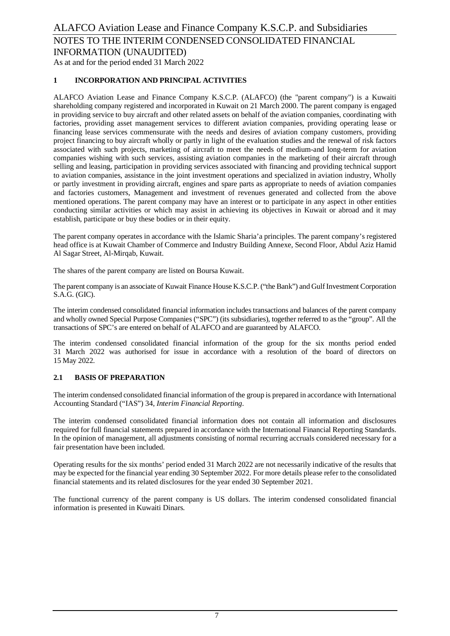# **1 INCORPORATION AND PRINCIPAL ACTIVITIES**

ALAFCO Aviation Lease and Finance Company K.S.C.P. (ALAFCO) (the "parent company") is a Kuwaiti shareholding company registered and incorporated in Kuwait on 21 March 2000. The parent company is engaged in providing service to buy aircraft and other related assets on behalf of the aviation companies, coordinating with factories, providing asset management services to different aviation companies, providing operating lease or financing lease services commensurate with the needs and desires of aviation company customers, providing project financing to buy aircraft wholly or partly in light of the evaluation studies and the renewal of risk factors associated with such projects, marketing of aircraft to meet the needs of medium-and long-term for aviation companies wishing with such services, assisting aviation companies in the marketing of their aircraft through selling and leasing, participation in providing services associated with financing and providing technical support to aviation companies, assistance in the joint investment operations and specialized in aviation industry, Wholly or partly investment in providing aircraft, engines and spare parts as appropriate to needs of aviation companies and factories customers, Management and investment of revenues generated and collected from the above mentioned operations. The parent company may have an interest or to participate in any aspect in other entities conducting similar activities or which may assist in achieving its objectives in Kuwait or abroad and it may establish, participate or buy these bodies or in their equity.

The parent company operates in accordance with the Islamic Sharia'a principles. The parent company's registered head office is at Kuwait Chamber of Commerce and Industry Building Annexe, Second Floor, Abdul Aziz Hamid Al Sagar Street, Al-Mirqab, Kuwait.

The shares of the parent company are listed on Boursa Kuwait.

The parent company is an associate of Kuwait Finance House K.S.C.P. ("the Bank") and Gulf Investment Corporation S.A.G. (GIC).

The interim condensed consolidated financial information includes transactions and balances of the parent company and wholly owned Special Purpose Companies ("SPC") (its subsidiaries), together referred to as the "group". All the transactions of SPC's are entered on behalf of ALAFCO and are guaranteed by ALAFCO.

The interim condensed consolidated financial information of the group for the six months period ended 31 March 2022 was authorised for issue in accordance with a resolution of the board of directors on 15 May 2022.

#### **2.1 BASIS OF PREPARATION**

The interim condensed consolidated financial information of the group is prepared in accordance with International Accounting Standard ("IAS") 34, *Interim Financial Reporting*.

The interim condensed consolidated financial information does not contain all information and disclosures required for full financial statements prepared in accordance with the International Financial Reporting Standards. In the opinion of management, all adjustments consisting of normal recurring accruals considered necessary for a fair presentation have been included.

Operating results for the six months' period ended 31 March 2022 are not necessarily indicative of the results that may be expected for the financial year ending 30 September 2022. For more details please refer to the consolidated financial statements and its related disclosures for the year ended 30 September 2021.

The functional currency of the parent company is US dollars. The interim condensed consolidated financial information is presented in Kuwaiti Dinars.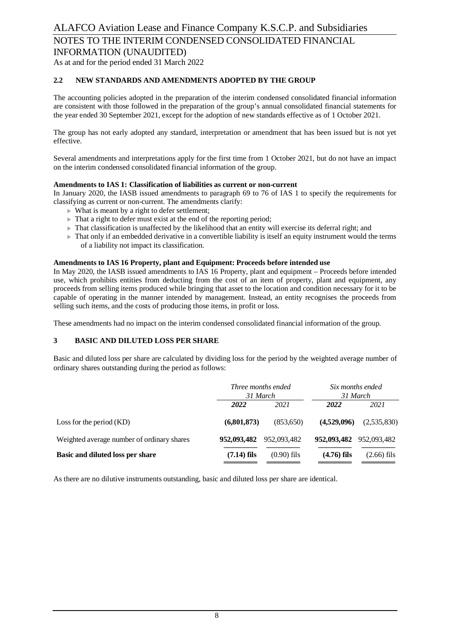### As at and for the period ended 31 March 2022

#### **2.2 NEW STANDARDS AND AMENDMENTS ADOPTED BY THE GROUP**

The accounting policies adopted in the preparation of the interim condensed consolidated financial information are consistent with those followed in the preparation of the group's annual consolidated financial statements for the year ended 30 September 2021, except for the adoption of new standards effective as of 1 October 2021.

The group has not early adopted any standard, interpretation or amendment that has been issued but is not yet effective.

Several amendments and interpretations apply for the first time from 1 October 2021, but do not have an impact on the interim condensed consolidated financial information of the group.

#### **Amendments to IAS 1: Classification of liabilities as current or non-current**

In January 2020, the IASB issued amendments to paragraph 69 to 76 of IAS 1 to specify the requirements for classifying as current or non-current. The amendments clarify:

- $\triangleright$  What is meant by a right to defer settlement;
- $\blacktriangleright$  That a right to defer must exist at the end of the reporting period;
- $\triangleright$  That classification is unaffected by the likelihood that an entity will exercise its deferral right; and
- $\triangleright$  That only if an embedded derivative in a convertible liability is itself an equity instrument would the terms of a liability not impact its classification.

#### **Amendments to IAS 16 Property, plant and Equipment: Proceeds before intended use**

In May 2020, the IASB issued amendments to IAS 16 Property, plant and equipment – Proceeds before intended use, which prohibits entities from deducting from the cost of an item of property, plant and equipment, any proceeds from selling items produced while bringing that asset to the location and condition necessary for it to be capable of operating in the manner intended by management. Instead, an entity recognises the proceeds from selling such items, and the costs of producing those items, in profit or loss.

These amendments had no impact on the interim condensed consolidated financial information of the group.

#### **3 BASIC AND DILUTED LOSS PER SHARE**

Basic and diluted loss per share are calculated by dividing loss for the period by the weighted average number of ordinary shares outstanding during the period as follows:

|                                            | Three months ended<br>31 March |               | Six months ended<br>31 March |               |
|--------------------------------------------|--------------------------------|---------------|------------------------------|---------------|
|                                            | 2022                           | 2021          | 2022                         | 2021          |
| Loss for the period $(KD)$                 | (6,801,873)                    | (853,650)     | (4.529.096)                  | (2,535,830)   |
| Weighted average number of ordinary shares | 952,093,482                    | 952,093,482   | 952,093,482 952,093,482      |               |
| Basic and diluted loss per share           | $(7.14)$ fils                  | $(0.90)$ fils | $(4.76)$ fils                | $(2.66)$ fils |

As there are no dilutive instruments outstanding, basic and diluted loss per share are identical.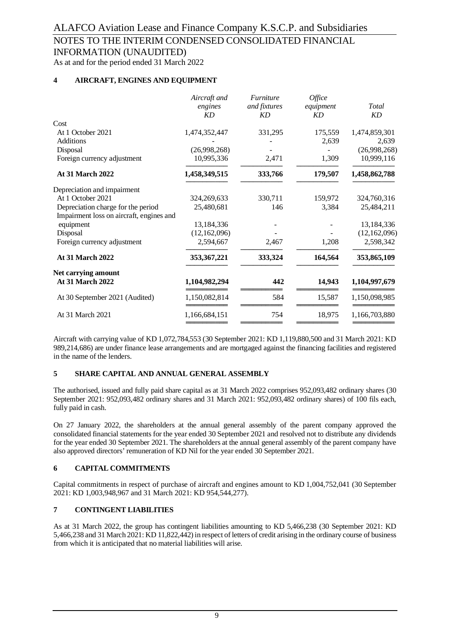INFORMATION (UNAUDITED)

As at and for the period ended 31 March 2022

#### **4 AIRCRAFT, ENGINES AND EQUIPMENT**

|                                          | Aircraft and<br>engines<br><b>KD</b> | <i><b>Furniture</b></i><br>and fixtures<br><b>KD</b> | Office<br>equipment<br>KD | Total<br>KD   |
|------------------------------------------|--------------------------------------|------------------------------------------------------|---------------------------|---------------|
| Cost                                     |                                      |                                                      |                           |               |
| At 1 October 2021                        | 1,474,352,447                        | 331,295                                              | 175,559                   | 1,474,859,301 |
| <b>Additions</b>                         |                                      |                                                      | 2,639                     | 2,639         |
| Disposal                                 | (26,998,268)                         |                                                      |                           | (26,998,268)  |
| Foreign currency adjustment              | 10,995,336                           | 2,471                                                | 1,309                     | 10,999,116    |
| <b>At 31 March 2022</b>                  | 1,458,349,515                        | 333,766                                              | 179,507                   | 1,458,862,788 |
| Depreciation and impairment              |                                      |                                                      |                           |               |
| At 1 October 2021                        | 324,269,633                          | 330,711                                              | 159,972                   | 324,760,316   |
| Depreciation charge for the period       | 25,480,681                           | 146                                                  | 3,384                     | 25,484,211    |
| Impairment loss on aircraft, engines and |                                      |                                                      |                           |               |
| equipment                                | 13,184,336                           |                                                      |                           | 13,184,336    |
| Disposal                                 | (12,162,096)                         |                                                      |                           | (12,162,096)  |
| Foreign currency adjustment              | 2,594,667                            | 2,467                                                | 1,208                     | 2,598,342     |
| <b>At 31 March 2022</b>                  | 353, 367, 221                        | 333,324                                              | 164,564                   | 353,865,109   |
| <b>Net carrying amount</b>               |                                      |                                                      |                           |               |
| <b>At 31 March 2022</b>                  | 1,104,982,294                        | 442                                                  | 14,943                    | 1,104,997,679 |
| At 30 September 2021 (Audited)           | 1,150,082,814                        | 584                                                  | 15,587                    | 1,150,098,985 |
| At 31 March 2021                         | 1,166,684,151                        | 754                                                  | 18,975                    | 1,166,703,880 |
|                                          |                                      |                                                      |                           |               |

Aircraft with carrying value of KD 1,072,784,553 (30 September 2021: KD 1,119,880,500 and 31 March 2021: KD 989,214,686) are under finance lease arrangements and are mortgaged against the financing facilities and registered in the name of the lenders.

#### **5 SHARE CAPITAL AND ANNUAL GENERAL ASSEMBLY**

The authorised, issued and fully paid share capital as at 31 March 2022 comprises 952,093,482 ordinary shares (30 September 2021: 952,093,482 ordinary shares and 31 March 2021: 952,093,482 ordinary shares) of 100 fils each, fully paid in cash.

On 27 January 2022, the shareholders at the annual general assembly of the parent company approved the consolidated financial statements for the year ended 30 September 2021 and resolved not to distribute any dividends for the year ended 30 September 2021. The shareholders at the annual general assembly of the parent company have also approved directors' remuneration of KD Nil for the year ended 30 September 2021.

#### **6 CAPITAL COMMITMENTS**

Capital commitments in respect of purchase of aircraft and engines amount to KD 1,004,752,041 (30 September 2021: KD 1,003,948,967 and 31 March 2021: KD 954,544,277).

#### **7 CONTINGENT LIABILITIES**

As at 31 March 2022, the group has contingent liabilities amounting to KD 5,466,238 (30 September 2021: KD 5,466,238 and 31 March 2021: KD 11,822,442) in respect of letters of credit arising in the ordinary course of business from which it is anticipated that no material liabilities will arise.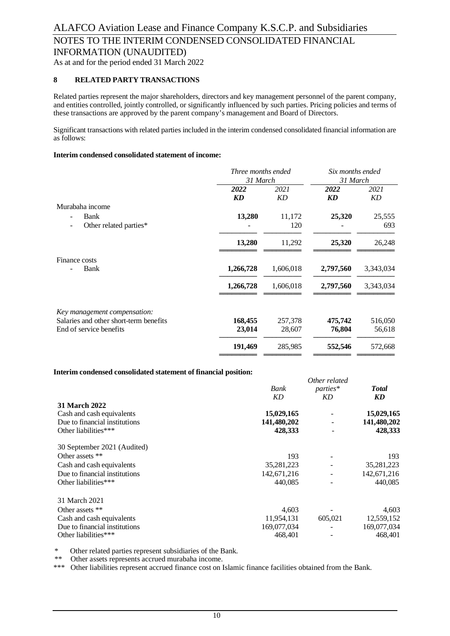As at and for the period ended 31 March 2022

#### **8 RELATED PARTY TRANSACTIONS**

Related parties represent the major shareholders, directors and key management personnel of the parent company, and entities controlled, jointly controlled, or significantly influenced by such parties. Pricing policies and terms of these transactions are approved by the parent company's management and Board of Directors.

Significant transactions with related parties included in the interim condensed consolidated financial information are as follows:

#### **Interim condensed consolidated statement of income:**

| Three months ended<br>31 March |           | Six months ended<br>31 March |                   |
|--------------------------------|-----------|------------------------------|-------------------|
| 2022                           | 2021      | 2022                         | 2021<br><b>KD</b> |
|                                |           |                              |                   |
| 13,280                         | 11,172    | 25,320                       | 25,555            |
|                                | 120       |                              | 693               |
| 13,280                         | 11,292    | 25,320                       | 26,248            |
|                                |           |                              |                   |
| 1,266,728                      | 1,606,018 | 2,797,560                    | 3,343,034         |
| 1,266,728                      | 1,606,018 | 2,797,560                    | 3,343,034         |
|                                |           |                              |                   |
| 168,455                        | 257,378   | 475,742                      | 516,050           |
| 23,014                         | 28,607    | 76,804                       | 56,618            |
| 191,469                        | 285,985   | 552,546                      | 572,668           |
|                                | <b>KD</b> | KD                           | <b>KD</b>         |

#### **Interim condensed consolidated statement of financial position:**

|                               | Bank        | parties* | <b>Total</b> |
|-------------------------------|-------------|----------|--------------|
|                               | <b>KD</b>   | KD       | KD           |
| <b>31 March 2022</b>          |             |          |              |
| Cash and cash equivalents     | 15,029,165  |          | 15,029,165   |
| Due to financial institutions | 141,480,202 |          | 141,480,202  |
| Other liabilities***          | 428,333     |          | 428,333      |
| 30 September 2021 (Audited)   |             |          |              |
| Other assets **               | 193         |          | 193          |
| Cash and cash equivalents     | 35,281,223  |          | 35,281,223   |
| Due to financial institutions | 142,671,216 |          | 142,671,216  |
| Other liabilities***          | 440.085     |          | 440,085      |
| 31 March 2021                 |             |          |              |
| Other assets **               | 4,603       |          | 4,603        |
| Cash and cash equivalents     | 11,954,131  | 605,021  | 12,559,152   |
| Due to financial institutions | 169,077,034 |          | 169,077,034  |
| Other liabilities***          | 468,401     |          | 468,401      |

*Other related*

\* Other related parties represent subsidiaries of the Bank.

\*\* Other assets represents accrued murabaha income.

\*\*\* Other liabilities represent accrued finance cost on Islamic finance facilities obtained from the Bank.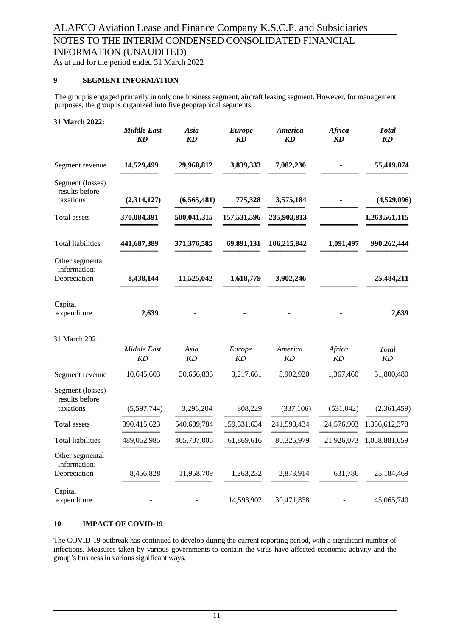As at and for the period ended 31 March 2022

#### **9 SEGMENT INFORMATION**

The group is engaged primarily in only one business segment, aircraft leasing segment. However, for management purposes, the group is organized into five geographical segments.

| 31 March 2022:                                  | <b>Middle East</b><br>KD | Asia<br><b>KD</b> | <b>Europe</b><br><b>KD</b> | America<br><b>KD</b> | <b>Africa</b><br>KD | <b>Total</b><br><b>KD</b> |
|-------------------------------------------------|--------------------------|-------------------|----------------------------|----------------------|---------------------|---------------------------|
| Segment revenue                                 | 14,529,499               | 29,968,812        | 3,839,333                  | 7,082,230            |                     | 55,419,874                |
| Segment (losses)<br>results before<br>taxations | (2,314,127)              | (6,565,481)       | 775,328                    | 3,575,184            |                     | (4,529,096)               |
| Total assets                                    | 370,084,391              | 500,041,315       | 157,531,596                | 235,903,813          |                     | 1,263,561,115             |
| Total liabilities                               | 441,687,389              | 371,376,585       | 69,891,131                 | 106,215,842          | 1,091,497           | 990,262,444               |
| Other segmental<br>information:<br>Depreciation | 8,438,144                | 11,525,042        | 1,618,779                  | 3,902,246            |                     | 25,484,211                |
| Capital<br>expenditure                          | 2,639                    |                   |                            |                      |                     | 2,639                     |
| 31 March 2021:                                  | Middle East<br>KD        | Asia<br><b>KD</b> | Europe<br><b>KD</b>        | America<br><b>KD</b> | Africa<br>KD        | Total<br><b>KD</b>        |
| Segment revenue                                 | 10,645,603               | 30,666,836        | 3,217,661                  | 5,902,920            | 1,367,460           | 51,800,480                |
| Segment (losses)<br>results before<br>taxations | (5,597,744)              | 3,296,204         | 808,229                    | (337, 106)           | (531, 042)          | (2,361,459)               |
| Total assets                                    | 390,415,623              | 540,689,784       | 159,331,634                | 241,598,434          | 24,576,903          | 1,356,612,378             |
| <b>Total liabilities</b>                        | 489,052,985              | 405,707,006       | 61,869,616                 | 80,325,979           | 21,926,073          | 1,058,881,659             |
| Other segmental<br>information:<br>Depreciation | 8,456,828                | 11,958,709        | 1,263,232                  | 2,873,914            | 631,786             | 25,184,469                |
| Capital<br>expenditure                          |                          |                   | 14,593,902                 | 30,471,838           |                     | 45,065,740                |

#### **10 IMPACT OF COVID-19**

The COVID-19 outbreak has continued to develop during the current reporting period, with a significant number of infections. Measures taken by various governments to contain the virus have affected economic activity and the group's business in various significant ways.